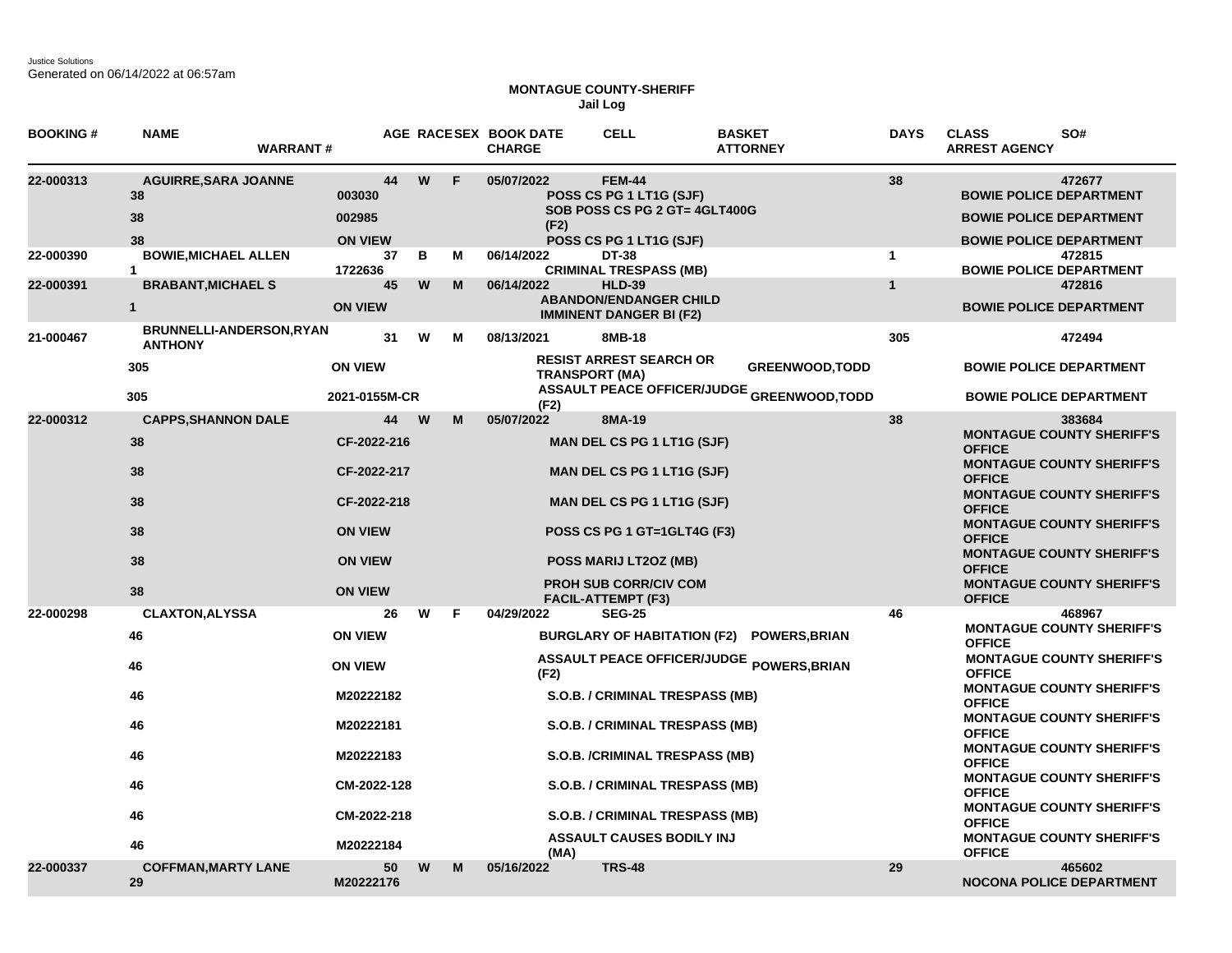Justice Solutions Generated on 06/14/2022 at 06:57am

## **MONTAGUE COUNTY-SHERIFF Jail Log**

| <b>BOOKING #</b> | <b>NAME</b><br><b>WARRANT#</b>                   |                                          |   |   | AGE RACESEX BOOK DATE<br><b>CHARGE</b> | <b>CELL</b>                                                                                          | <b>BASKET</b><br><b>ATTORNEY</b>                  | <b>DAYS</b>  | <b>CLASS</b><br>SO#<br><b>ARREST AGENCY</b>                                                                  |
|------------------|--------------------------------------------------|------------------------------------------|---|---|----------------------------------------|------------------------------------------------------------------------------------------------------|---------------------------------------------------|--------------|--------------------------------------------------------------------------------------------------------------|
| 22-000313        | <b>AGUIRRE, SARA JOANNE</b><br>38<br>38<br>38    | 44<br>003030<br>002985<br><b>ON VIEW</b> | W | F | 05/07/2022<br>(F2)                     | <b>FEM-44</b><br>POSS CS PG 1 LT1G (SJF)<br>SOB POSS CS PG 2 GT= 4GLT400G<br>POSS CS PG 1 LT1G (SJF) |                                                   | 38           | 472677<br><b>BOWIE POLICE DEPARTMENT</b><br><b>BOWIE POLICE DEPARTMENT</b><br><b>BOWIE POLICE DEPARTMENT</b> |
| 22-000390        | <b>BOWIE.MICHAEL ALLEN</b><br>$\mathbf{1}$       | 37<br>1722636                            | в | м | 06/14/2022                             | DT-38<br><b>CRIMINAL TRESPASS (MB)</b>                                                               |                                                   | $\mathbf{1}$ | 472815<br><b>BOWIE POLICE DEPARTMENT</b>                                                                     |
| 22-000391        | <b>BRABANT, MICHAEL S</b><br>$\mathbf{1}$        | 45<br><b>ON VIEW</b>                     | W | M | 06/14/2022                             | <b>HLD-39</b><br><b>ABANDON/ENDANGER CHILD</b><br><b>IMMINENT DANGER BI (F2)</b>                     |                                                   | $\mathbf{1}$ | 472816<br><b>BOWIE POLICE DEPARTMENT</b>                                                                     |
| 21-000467        | <b>BRUNNELLI-ANDERSON,RYAN</b><br><b>ANTHONY</b> | 31                                       | W | М | 08/13/2021                             | 8MB-18                                                                                               |                                                   | 305          | 472494                                                                                                       |
|                  | 305                                              | <b>ON VIEW</b>                           |   |   | <b>TRANSPORT (MA)</b>                  | <b>RESIST ARREST SEARCH OR</b>                                                                       | <b>GREENWOOD, TODD</b>                            |              | <b>BOWIE POLICE DEPARTMENT</b>                                                                               |
|                  | 305                                              | 2021-0155M-CR                            |   |   | (F2)                                   |                                                                                                      | <b>ASSAULT PEACE OFFICER/JUDGE GREENWOOD,TODD</b> |              | <b>BOWIE POLICE DEPARTMENT</b>                                                                               |
| 22-000312        | <b>CAPPS, SHANNON DALE</b><br>38                 | 44<br>CF-2022-216                        | W | M | 05/07/2022                             | 8MA-19<br><b>MAN DEL CS PG 1 LT1G (SJF)</b>                                                          |                                                   | 38           | 383684<br><b>MONTAGUE COUNTY SHERIFF'S</b><br><b>OFFICE</b>                                                  |
|                  | 38                                               | CF-2022-217                              |   |   |                                        | <b>MAN DEL CS PG 1 LT1G (SJF)</b>                                                                    |                                                   |              | <b>MONTAGUE COUNTY SHERIFF'S</b><br><b>OFFICE</b>                                                            |
|                  | 38                                               | CF-2022-218                              |   |   |                                        | <b>MAN DEL CS PG 1 LT1G (SJF)</b>                                                                    |                                                   |              | <b>MONTAGUE COUNTY SHERIFF'S</b><br><b>OFFICE</b>                                                            |
|                  | 38                                               | <b>ON VIEW</b>                           |   |   |                                        | POSS CS PG 1 GT=1GLT4G (F3)                                                                          |                                                   |              | <b>MONTAGUE COUNTY SHERIFF'S</b><br><b>OFFICE</b>                                                            |
|                  | 38                                               | <b>ON VIEW</b>                           |   |   |                                        | POSS MARIJ LT2OZ (MB)                                                                                |                                                   |              | <b>MONTAGUE COUNTY SHERIFF'S</b><br><b>OFFICE</b>                                                            |
|                  | 38                                               | <b>ON VIEW</b>                           |   |   |                                        | <b>PROH SUB CORR/CIV COM</b><br><b>FACIL-ATTEMPT (F3)</b>                                            |                                                   |              | <b>MONTAGUE COUNTY SHERIFF'S</b><br><b>OFFICE</b>                                                            |
| 22-000298        | <b>CLAXTON, ALYSSA</b>                           | 26                                       | W | F | 04/29/2022                             | <b>SEG-25</b>                                                                                        |                                                   | 46           | 468967                                                                                                       |
|                  | 46                                               | <b>ON VIEW</b>                           |   |   |                                        |                                                                                                      | BURGLARY OF HABITATION (F2) POWERS, BRIAN         |              | <b>MONTAGUE COUNTY SHERIFF'S</b><br><b>OFFICE</b>                                                            |
|                  | 46                                               | <b>ON VIEW</b>                           |   |   | (F2)                                   |                                                                                                      | ASSAULT PEACE OFFICER/JUDGE POWERS, BRIAN         |              | <b>MONTAGUE COUNTY SHERIFF'S</b><br><b>OFFICE</b>                                                            |
|                  | 46                                               | M20222182                                |   |   |                                        | S.O.B. / CRIMINAL TRESPASS (MB)                                                                      |                                                   |              | <b>MONTAGUE COUNTY SHERIFF'S</b><br><b>OFFICE</b>                                                            |
|                  | 46                                               | M20222181                                |   |   |                                        | S.O.B. / CRIMINAL TRESPASS (MB)                                                                      |                                                   |              | <b>MONTAGUE COUNTY SHERIFF'S</b><br><b>OFFICE</b>                                                            |
|                  | 46                                               | M20222183                                |   |   |                                        | S.O.B. /CRIMINAL TRESPASS (MB)                                                                       |                                                   |              | <b>MONTAGUE COUNTY SHERIFF'S</b><br><b>OFFICE</b>                                                            |
|                  | 46                                               | CM-2022-128                              |   |   |                                        | <b>S.O.B. / CRIMINAL TRESPASS (MB)</b>                                                               |                                                   |              | <b>MONTAGUE COUNTY SHERIFF'S</b><br><b>OFFICE</b>                                                            |
|                  | 46                                               | CM-2022-218                              |   |   |                                        | <b>S.O.B. / CRIMINAL TRESPASS (MB)</b>                                                               |                                                   |              | <b>MONTAGUE COUNTY SHERIFF'S</b><br><b>OFFICE</b>                                                            |
|                  | 46                                               | M20222184                                |   |   | (MA)                                   | <b>ASSAULT CAUSES BODILY INJ</b>                                                                     |                                                   |              | <b>MONTAGUE COUNTY SHERIFF'S</b><br><b>OFFICE</b>                                                            |
| 22-000337        | <b>COFFMAN, MARTY LANE</b><br>29                 | 50<br>M20222176                          | W | М | 05/16/2022                             | <b>TRS-48</b>                                                                                        |                                                   | 29           | 465602<br><b>NOCONA POLICE DEPARTMENT</b>                                                                    |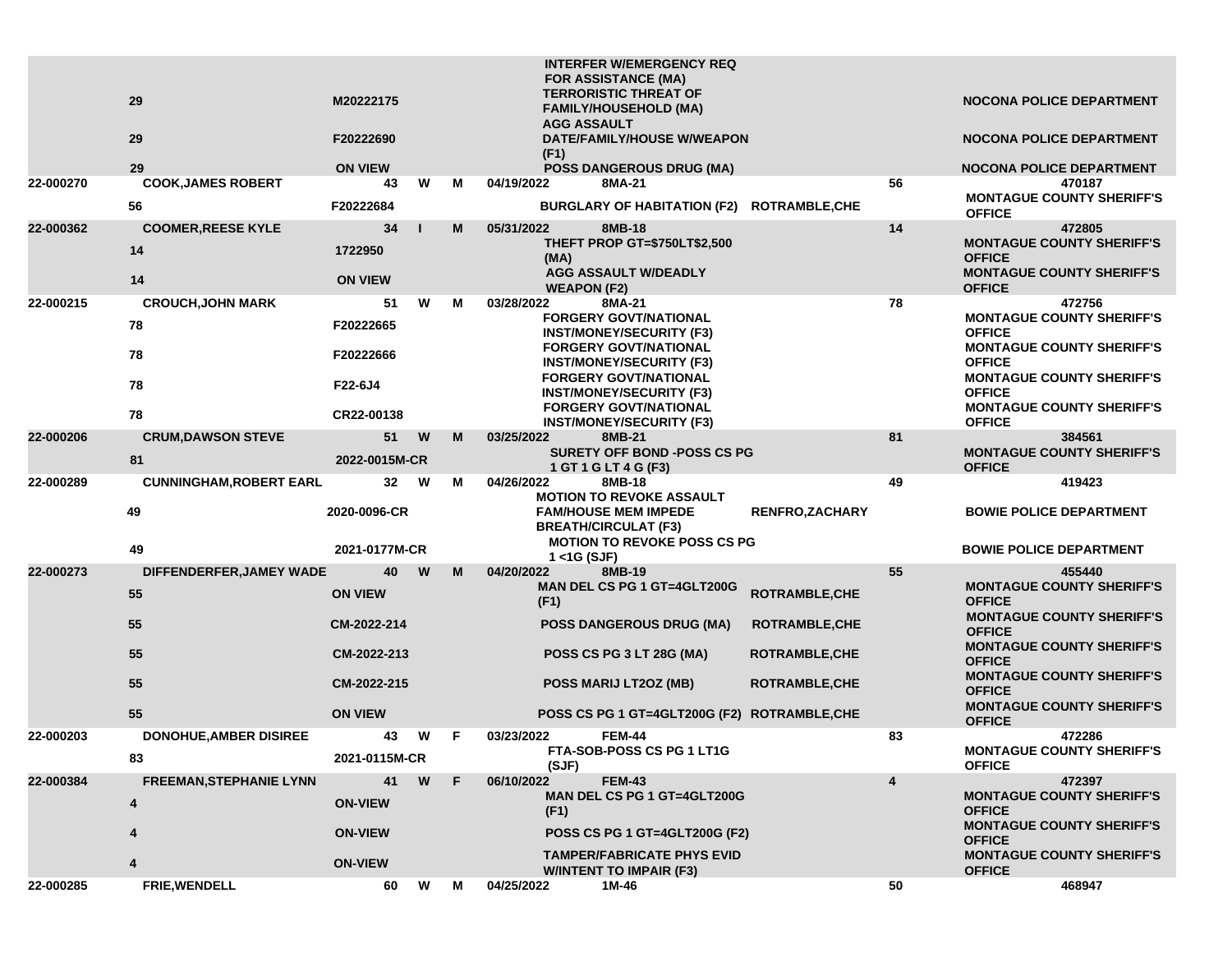|           |                                     |                     |              |    | <b>INTERFER W/EMERGENCY REQ</b><br><b>FOR ASSISTANCE (MA)</b>                                   |    |                                                                                       |
|-----------|-------------------------------------|---------------------|--------------|----|-------------------------------------------------------------------------------------------------|----|---------------------------------------------------------------------------------------|
|           | 29                                  | M20222175           |              |    | <b>TERRORISTIC THREAT OF</b><br><b>FAMILY/HOUSEHOLD (MA)</b><br><b>AGG ASSAULT</b>              |    | <b>NOCONA POLICE DEPARTMENT</b>                                                       |
|           | 29                                  | F20222690           |              |    | DATE/FAMILY/HOUSE W/WEAPON<br>(F1)                                                              |    | <b>NOCONA POLICE DEPARTMENT</b>                                                       |
|           | 29                                  | <b>ON VIEW</b>      |              |    | <b>POSS DANGEROUS DRUG (MA)</b>                                                                 |    | <b>NOCONA POLICE DEPARTMENT</b>                                                       |
| 22-000270 | <b>COOK, JAMES ROBERT</b>           | 43                  | W            | м  | 04/19/2022<br>8MA-21                                                                            | 56 | 470187                                                                                |
|           | 56                                  | F20222684           |              |    | BURGLARY OF HABITATION (F2) ROTRAMBLE, CHE                                                      |    | <b>MONTAGUE COUNTY SHERIFF'S</b><br><b>OFFICE</b>                                     |
| 22-000362 | <b>COOMER, REESE KYLE</b>           | 34                  | $\mathbf{I}$ | M  | 05/31/2022<br>8MB-18                                                                            | 14 | 472805                                                                                |
|           | 14                                  | 1722950             |              |    | THEFT PROP GT=\$750LT\$2,500<br>(MA)                                                            |    | <b>MONTAGUE COUNTY SHERIFF'S</b><br><b>OFFICE</b>                                     |
|           | 14                                  | <b>ON VIEW</b>      |              |    | <b>AGG ASSAULT W/DEADLY</b><br><b>WEAPON (F2)</b>                                               |    | <b>MONTAGUE COUNTY SHERIFF'S</b><br><b>OFFICE</b>                                     |
| 22-000215 | <b>CROUCH, JOHN MARK</b>            | 51                  | W            | м  | 03/28/2022<br>8MA-21                                                                            | 78 | 472756                                                                                |
|           | 78                                  | F20222665           |              |    | <b>FORGERY GOVT/NATIONAL</b><br><b>INST/MONEY/SECURITY (F3)</b>                                 |    | <b>MONTAGUE COUNTY SHERIFF'S</b><br><b>OFFICE</b>                                     |
|           | 78                                  | F20222666           |              |    | <b>FORGERY GOVT/NATIONAL</b><br><b>INST/MONEY/SECURITY (F3)</b>                                 |    | <b>MONTAGUE COUNTY SHERIFF'S</b><br><b>OFFICE</b>                                     |
|           | 78                                  | F22-6J4             |              |    | <b>FORGERY GOVT/NATIONAL</b><br><b>INST/MONEY/SECURITY (F3)</b><br><b>FORGERY GOVT/NATIONAL</b> |    | <b>MONTAGUE COUNTY SHERIFF'S</b><br><b>OFFICE</b><br><b>MONTAGUE COUNTY SHERIFF'S</b> |
|           | 78                                  | CR22-00138          |              |    | <b>INST/MONEY/SECURITY (F3)</b>                                                                 |    | <b>OFFICE</b>                                                                         |
| 22-000206 | <b>CRUM, DAWSON STEVE</b>           | 51                  | W            | M  | 03/25/2022<br>8MB-21                                                                            | 81 | 384561                                                                                |
|           | 81                                  | 2022-0015M-CR       |              |    | <b>SURETY OFF BOND -POSS CS PG</b><br>1 GT 1 G LT 4 G (F3)                                      |    | <b>MONTAGUE COUNTY SHERIFF'S</b><br><b>OFFICE</b>                                     |
| 22-000289 | <b>CUNNINGHAM, ROBERT EARL</b>      | 32 <sub>2</sub>     | W            | м  | 04/26/2022<br>8MB-18<br><b>MOTION TO REVOKE ASSAULT</b>                                         | 49 | 419423                                                                                |
|           | 49                                  | 2020-0096-CR        |              |    | <b>RENFRO,ZACHARY</b><br><b>FAM/HOUSE MEM IMPEDE</b><br><b>BREATH/CIRCULAT (F3)</b>             |    | <b>BOWIE POLICE DEPARTMENT</b>                                                        |
|           | 49                                  | 2021-0177M-CR       |              |    | <b>MOTION TO REVOKE POSS CS PG</b><br>$1 <$ 1G (SJF)                                            |    | <b>BOWIE POLICE DEPARTMENT</b>                                                        |
| 22-000273 | DIFFENDERFER, JAMEY WADE            | 40                  | W            | M  | 04/20/2022<br>8MB-19                                                                            | 55 | 455440                                                                                |
|           | 55                                  | <b>ON VIEW</b>      |              |    | MAN DEL CS PG 1 GT=4GLT200G<br>ROTRAMBLE, CHE<br>(F1)                                           |    | <b>MONTAGUE COUNTY SHERIFF'S</b><br><b>OFFICE</b>                                     |
|           | 55                                  | CM-2022-214         |              |    | <b>POSS DANGEROUS DRUG (MA)</b><br><b>ROTRAMBLE, CHE</b>                                        |    | <b>MONTAGUE COUNTY SHERIFF'S</b><br><b>OFFICE</b>                                     |
|           | 55                                  | CM-2022-213         |              |    | POSS CS PG 3 LT 28G (MA)<br><b>ROTRAMBLE, CHE</b>                                               |    | <b>MONTAGUE COUNTY SHERIFF'S</b><br><b>OFFICE</b><br><b>MONTAGUE COUNTY SHERIFF'S</b> |
|           | 55                                  | CM-2022-215         |              |    | POSS MARIJ LT2OZ (MB)<br><b>ROTRAMBLE, CHE</b>                                                  |    | <b>OFFICE</b><br><b>MONTAGUE COUNTY SHERIFF'S</b>                                     |
|           | 55                                  | <b>ON VIEW</b>      |              |    | POSS CS PG 1 GT=4GLT200G (F2) ROTRAMBLE, CHE                                                    |    | <b>OFFICE</b>                                                                         |
| 22-000203 | <b>DONOHUE, AMBER DISIREE</b><br>83 | 43<br>2021-0115M-CR | W            | -F | 03/23/2022<br><b>FEM-44</b><br>FTA-SOB-POSS CS PG 1 LT1G                                        | 83 | 472286<br><b>MONTAGUE COUNTY SHERIFF'S</b>                                            |
| 22-000384 | <b>FREEMAN, STEPHANIE LYNN</b>      | 41                  | W            | F. | (SJF)<br>06/10/2022<br><b>FEM-43</b>                                                            | 4  | <b>OFFICE</b><br>472397                                                               |
|           | 4                                   | <b>ON-VIEW</b>      |              |    | MAN DEL CS PG 1 GT=4GLT200G<br>(F1)                                                             |    | <b>MONTAGUE COUNTY SHERIFF'S</b><br><b>OFFICE</b>                                     |
|           |                                     | <b>ON-VIEW</b>      |              |    | <b>POSS CS PG 1 GT=4GLT200G (F2)</b>                                                            |    | <b>MONTAGUE COUNTY SHERIFF'S</b><br><b>OFFICE</b>                                     |
|           |                                     | <b>ON-VIEW</b>      |              |    | <b>TAMPER/FABRICATE PHYS EVID</b><br><b>W/INTENT TO IMPAIR (F3)</b>                             |    | <b>MONTAGUE COUNTY SHERIFF'S</b><br><b>OFFICE</b>                                     |
| 22-000285 | FRIE, WENDELL                       | 60                  | W            | М  | 04/25/2022<br>1M-46                                                                             | 50 | 468947                                                                                |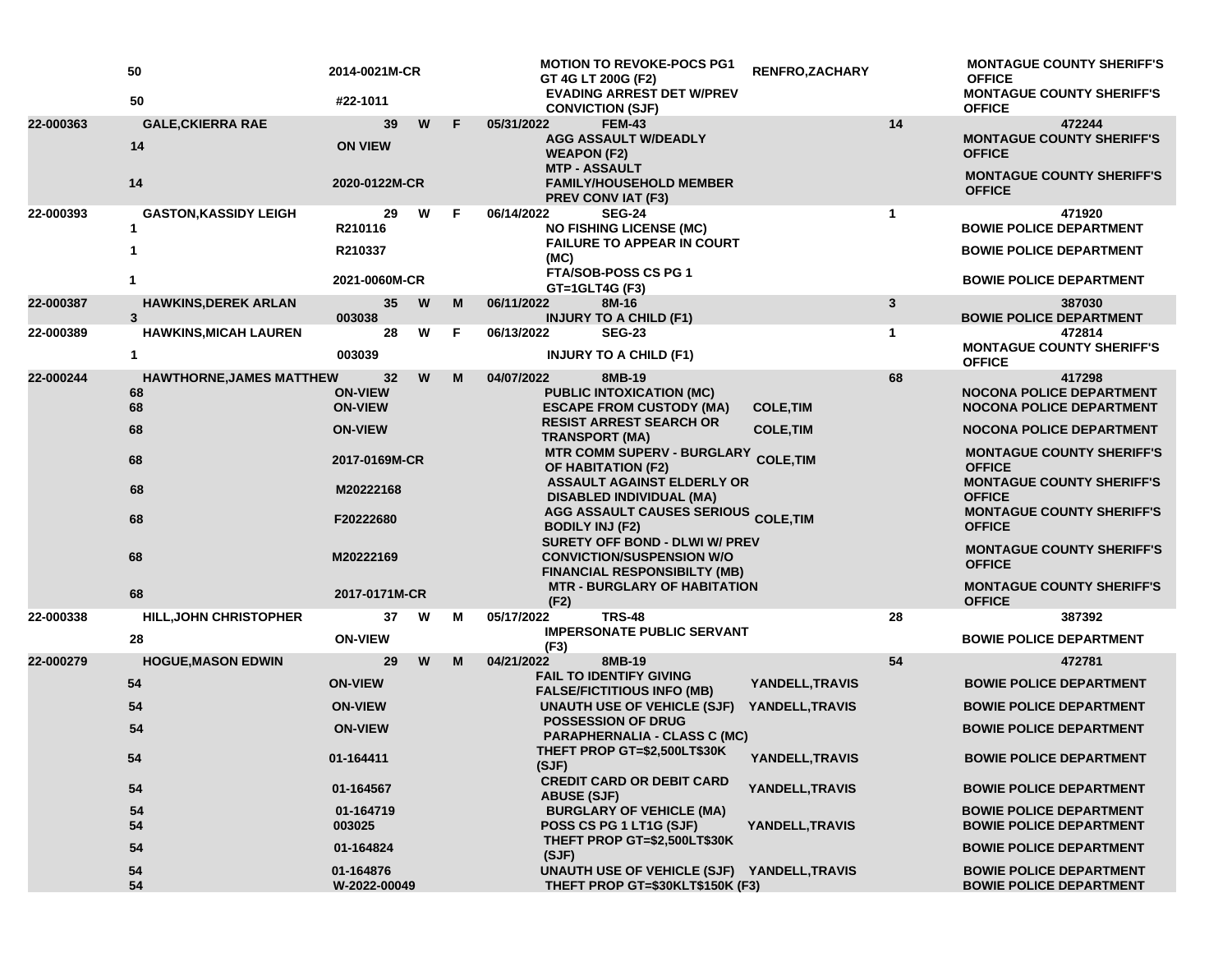|           | 50<br>50                                    | 2014-0021M-CR<br>#22-1011              |   |    | <b>MOTION TO REVOKE-POCS PG1</b><br>GT 4G LT 200G (F2)<br><b>EVADING ARREST DET W/PREV</b>                                                                    | RENFRO, ZACHARY                      |              | <b>MONTAGUE COUNTY SHERIFF'S</b><br><b>OFFICE</b><br><b>MONTAGUE COUNTY SHERIFF'S</b> |
|-----------|---------------------------------------------|----------------------------------------|---|----|---------------------------------------------------------------------------------------------------------------------------------------------------------------|--------------------------------------|--------------|---------------------------------------------------------------------------------------|
|           |                                             |                                        |   |    | <b>CONVICTION (SJF)</b>                                                                                                                                       |                                      |              | <b>OFFICE</b>                                                                         |
| 22-000363 | <b>GALE, CKIERRA RAE</b><br>14              | 39<br><b>ON VIEW</b>                   | W | F. | 05/31/2022<br><b>FEM-43</b><br><b>AGG ASSAULT W/DEADLY</b><br><b>WEAPON (F2)</b>                                                                              |                                      | 14           | 472244<br><b>MONTAGUE COUNTY SHERIFF'S</b><br><b>OFFICE</b>                           |
|           | 14                                          | 2020-0122M-CR                          |   |    | <b>MTP - ASSAULT</b><br><b>FAMILY/HOUSEHOLD MEMBER</b><br>PREV CONVIAT (F3)                                                                                   |                                      |              | <b>MONTAGUE COUNTY SHERIFF'S</b><br><b>OFFICE</b>                                     |
| 22-000393 | <b>GASTON, KASSIDY LEIGH</b><br>1           | 29<br>R210116                          | W | F. | 06/14/2022<br><b>SEG-24</b><br><b>NO FISHING LICENSE (MC)</b>                                                                                                 |                                      | $\mathbf{1}$ | 471920<br><b>BOWIE POLICE DEPARTMENT</b>                                              |
|           |                                             | R210337                                |   |    | <b>FAILURE TO APPEAR IN COURT</b><br>(MC)<br><b>FTA/SOB-POSS CS PG 1</b>                                                                                      |                                      |              | <b>BOWIE POLICE DEPARTMENT</b>                                                        |
|           |                                             | 2021-0060M-CR                          |   |    | GT=1GLT4G (F3)                                                                                                                                                |                                      |              | <b>BOWIE POLICE DEPARTMENT</b>                                                        |
| 22-000387 | <b>HAWKINS, DEREK ARLAN</b><br>$\mathbf{3}$ | 35<br>003038                           | W | M  | 06/11/2022<br>8M-16<br><b>INJURY TO A CHILD (F1)</b>                                                                                                          |                                      | 3            | 387030<br><b>BOWIE POLICE DEPARTMENT</b>                                              |
| 22-000389 | <b>HAWKINS, MICAH LAUREN</b>                | 28                                     | W | F  | 06/13/2022<br><b>SEG-23</b>                                                                                                                                   |                                      | $\mathbf{1}$ | 472814<br><b>MONTAGUE COUNTY SHERIFF'S</b>                                            |
|           | 1                                           | 003039                                 |   |    | <b>INJURY TO A CHILD (F1)</b>                                                                                                                                 |                                      |              | <b>OFFICE</b>                                                                         |
| 22-000244 | <b>HAWTHORNE, JAMES MATTHEW</b><br>68<br>68 | 32<br><b>ON-VIEW</b><br><b>ON-VIEW</b> | W | M  | 04/07/2022<br>8MB-19<br><b>PUBLIC INTOXICATION (MC)</b><br><b>ESCAPE FROM CUSTODY (MA)</b>                                                                    | <b>COLE, TIM</b>                     | 68           | 417298<br><b>NOCONA POLICE DEPARTMENT</b><br><b>NOCONA POLICE DEPARTMENT</b>          |
|           | 68                                          | <b>ON-VIEW</b>                         |   |    | <b>RESIST ARREST SEARCH OR</b><br><b>TRANSPORT (MA)</b>                                                                                                       | <b>COLE, TIM</b><br><b>COLE, TIM</b> |              | <b>NOCONA POLICE DEPARTMENT</b>                                                       |
|           | 68                                          | 2017-0169M-CR                          |   |    | <b>MTR COMM SUPERV - BURGLARY</b><br>OF HABITATION (F2)                                                                                                       |                                      |              | <b>MONTAGUE COUNTY SHERIFF'S</b><br><b>OFFICE</b>                                     |
|           | 68                                          | M20222168                              |   |    | <b>ASSAULT AGAINST ELDERLY OR</b><br><b>DISABLED INDIVIDUAL (MA)</b>                                                                                          |                                      |              | <b>MONTAGUE COUNTY SHERIFF'S</b><br><b>OFFICE</b><br><b>MONTAGUE COUNTY SHERIFF'S</b> |
|           | 68                                          | F20222680                              |   |    | AGG ASSAULT CAUSES SERIOUS COLE, TIM<br><b>BODILY INJ (F2)</b><br><b>SURETY OFF BOND - DLWI W/ PREV</b>                                                       |                                      |              | <b>OFFICE</b>                                                                         |
|           | 68                                          | M20222169                              |   |    | <b>CONVICTION/SUSPENSION W/O</b><br><b>FINANCIAL RESPONSIBILTY (MB)</b>                                                                                       |                                      |              | <b>MONTAGUE COUNTY SHERIFF'S</b><br><b>OFFICE</b>                                     |
|           | 68                                          | 2017-0171M-CR                          |   |    | <b>MTR - BURGLARY OF HABITATION</b><br>(F2)                                                                                                                   |                                      |              | <b>MONTAGUE COUNTY SHERIFF'S</b><br><b>OFFICE</b>                                     |
| 22-000338 | <b>HILL, JOHN CHRISTOPHER</b>               | 37                                     | W | м  | <b>TRS-48</b><br>05/17/2022                                                                                                                                   |                                      | 28           | 387392                                                                                |
|           | 28                                          | <b>ON-VIEW</b>                         |   |    | <b>IMPERSONATE PUBLIC SERVANT</b><br>(F3)                                                                                                                     |                                      |              | <b>BOWIE POLICE DEPARTMENT</b>                                                        |
| 22-000279 | <b>HOGUE, MASON EDWIN</b>                   | 29                                     | W | M  | 04/21/2022<br>8MB-19                                                                                                                                          |                                      | 54           | 472781                                                                                |
|           | 54                                          | <b>ON-VIEW</b>                         |   |    | <b>FAIL TO IDENTIFY GIVING</b><br><b>FALSE/FICTITIOUS INFO (MB)</b>                                                                                           | YANDELL, TRAVIS                      |              | <b>BOWIE POLICE DEPARTMENT</b>                                                        |
|           | 54                                          | <b>ON-VIEW</b>                         |   |    | UNAUTH USE OF VEHICLE (SJF)                                                                                                                                   | YANDELL, TRAVIS                      |              | <b>BOWIE POLICE DEPARTMENT</b>                                                        |
|           | 54                                          | <b>ON-VIEW</b>                         |   |    | <b>POSSESSION OF DRUG</b><br><b>PARAPHERNALIA - CLASS C (MC)</b>                                                                                              |                                      |              | <b>BOWIE POLICE DEPARTMENT</b>                                                        |
|           | 54                                          | 01-164411                              |   |    | THEFT PROP GT=\$2,500LT\$30K<br>(SJF)<br><b>CREDIT CARD OR DEBIT CARD</b><br><b>ABUSE (SJF)</b><br><b>BURGLARY OF VEHICLE (MA)</b><br>POSS CS PG 1 LT1G (SJF) | YANDELL, TRAVIS                      |              | <b>BOWIE POLICE DEPARTMENT</b>                                                        |
|           | 54                                          | 01-164567                              |   |    |                                                                                                                                                               | YANDELL, TRAVIS<br>YANDELL, TRAVIS   |              | <b>BOWIE POLICE DEPARTMENT</b>                                                        |
|           | 54<br>54                                    | 01-164719<br>003025                    |   |    |                                                                                                                                                               |                                      |              | <b>BOWIE POLICE DEPARTMENT</b><br><b>BOWIE POLICE DEPARTMENT</b>                      |
|           | 54                                          | 01-164824                              |   |    | THEFT PROP GT=\$2,500LT\$30K<br>(SJF)                                                                                                                         |                                      |              | <b>BOWIE POLICE DEPARTMENT</b>                                                        |
|           | 54<br>54                                    | 01-164876<br>W-2022-00049              |   |    | UNAUTH USE OF VEHICLE (SJF) YANDELL, TRAVIS<br>THEFT PROP GT=\$30KLT\$150K (F3)                                                                               |                                      |              | <b>BOWIE POLICE DEPARTMENT</b><br><b>BOWIE POLICE DEPARTMENT</b>                      |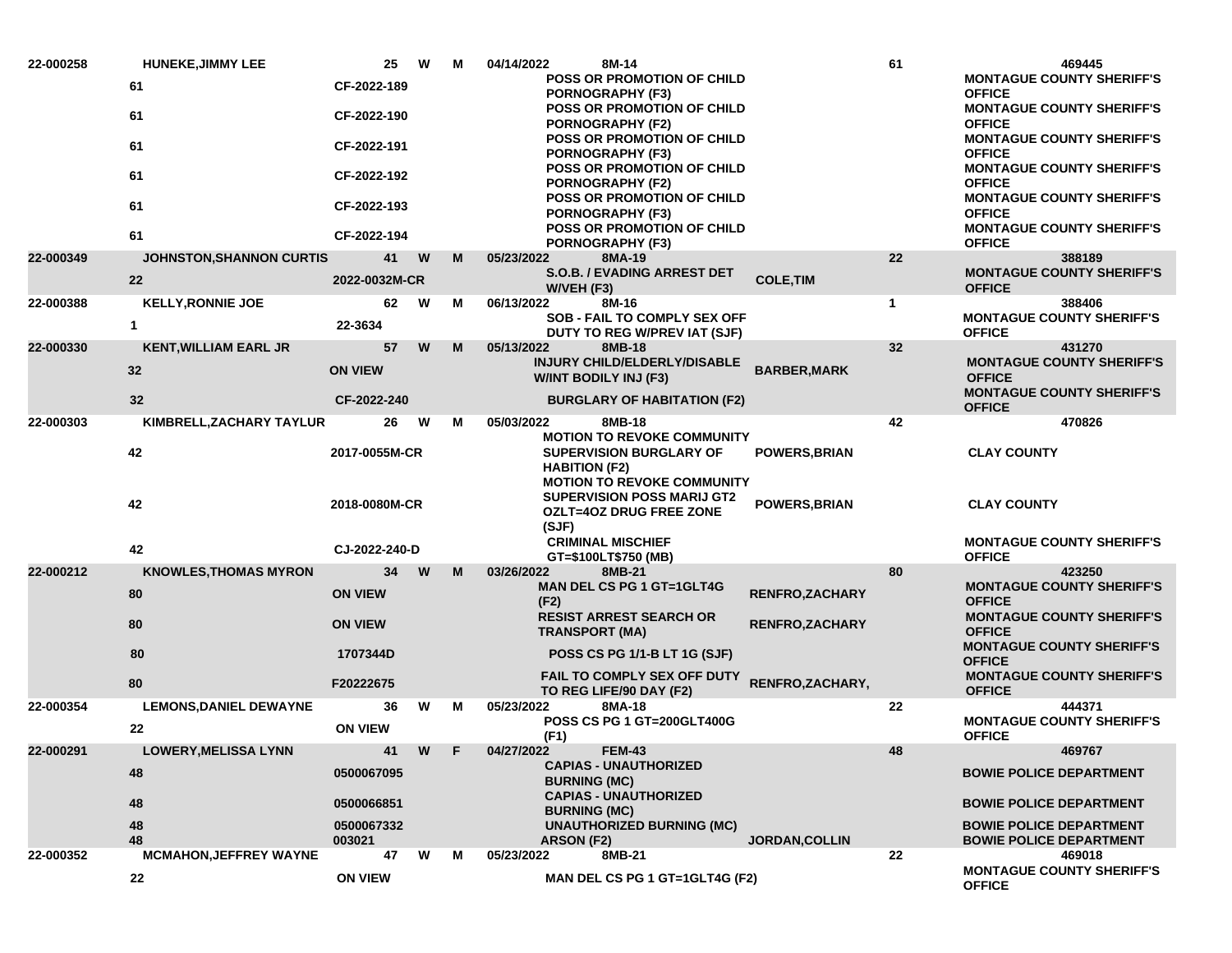| 22-000258 | <b>HUNEKE, JIMMY LEE</b>      | 25                   | W | M | 04/14/2022<br>8M-14                                                                  |                        | 61          | 469445                                                                                |
|-----------|-------------------------------|----------------------|---|---|--------------------------------------------------------------------------------------|------------------------|-------------|---------------------------------------------------------------------------------------|
|           | 61                            | CF-2022-189          |   |   | POSS OR PROMOTION OF CHILD<br><b>PORNOGRAPHY (F3)</b>                                |                        |             | <b>MONTAGUE COUNTY SHERIFF'S</b><br><b>OFFICE</b>                                     |
|           | 61                            | CF-2022-190          |   |   | <b>POSS OR PROMOTION OF CHILD</b><br><b>PORNOGRAPHY (F2)</b>                         |                        |             | <b>MONTAGUE COUNTY SHERIFF'S</b><br><b>OFFICE</b>                                     |
|           | 61                            | CF-2022-191          |   |   | <b>POSS OR PROMOTION OF CHILD</b><br>PORNOGRAPHY (F3)                                |                        |             | <b>MONTAGUE COUNTY SHERIFF'S</b><br><b>OFFICE</b>                                     |
|           | 61                            | CF-2022-192          |   |   | POSS OR PROMOTION OF CHILD<br><b>PORNOGRAPHY (F2)</b>                                |                        |             | <b>MONTAGUE COUNTY SHERIFF'S</b><br><b>OFFICE</b>                                     |
|           | 61                            | CF-2022-193          |   |   | <b>POSS OR PROMOTION OF CHILD</b><br><b>PORNOGRAPHY (F3)</b>                         |                        |             | <b>MONTAGUE COUNTY SHERIFF'S</b><br><b>OFFICE</b><br><b>MONTAGUE COUNTY SHERIFF'S</b> |
|           | 61                            | CF-2022-194          |   |   | <b>POSS OR PROMOTION OF CHILD</b><br>PORNOGRAPHY (F3)                                |                        |             | <b>OFFICE</b>                                                                         |
| 22-000349 | JOHNSTON, SHANNON CURTIS      | 41                   | W | м | 05/23/2022<br>8MA-19                                                                 |                        | 22          | 388189                                                                                |
|           | 22                            | 2022-0032M-CR        |   |   | S.O.B. / EVADING ARREST DET<br>W/VEH (F3)                                            | <b>COLE, TIM</b>       |             | <b>MONTAGUE COUNTY SHERIFF'S</b><br><b>OFFICE</b>                                     |
| 22-000388 | <b>KELLY, RONNIE JOE</b>      | 62                   | W | М | 06/13/2022<br>8M-16                                                                  |                        | $\mathbf 1$ | 388406                                                                                |
|           | $\mathbf{1}$                  | 22-3634              |   |   | <b>SOB - FAIL TO COMPLY SEX OFF</b><br>DUTY TO REG W/PREV IAT (SJF)                  |                        |             | <b>MONTAGUE COUNTY SHERIFF'S</b><br><b>OFFICE</b>                                     |
| 22-000330 | <b>KENT, WILLIAM EARL JR</b>  | 57                   | W | M | 05/13/2022<br>8MB-18                                                                 |                        | 32          | 431270                                                                                |
|           | 32                            | <b>ON VIEW</b>       |   |   | INJURY CHILD/ELDERLY/DISABLE<br><b>W/INT BODILY INJ (F3)</b>                         | <b>BARBER, MARK</b>    |             | <b>MONTAGUE COUNTY SHERIFF'S</b><br><b>OFFICE</b>                                     |
|           | 32                            | CF-2022-240          |   |   | <b>BURGLARY OF HABITATION (F2)</b>                                                   |                        |             | <b>MONTAGUE COUNTY SHERIFF'S</b><br><b>OFFICE</b>                                     |
| 22-000303 | KIMBRELL, ZACHARY TAYLUR      | 26                   | W | м | 05/03/2022<br>8MB-18<br><b>MOTION TO REVOKE COMMUNITY</b>                            |                        | 42          | 470826                                                                                |
|           | 42                            | 2017-0055M-CR        |   |   | SUPERVISION BURGLARY OF<br><b>HABITION (F2)</b><br><b>MOTION TO REVOKE COMMUNITY</b> | <b>POWERS, BRIAN</b>   |             | <b>CLAY COUNTY</b>                                                                    |
|           | 42                            | 2018-0080M-CR        |   |   | <b>SUPERVISION POSS MARIJ GT2</b><br><b>OZLT=4OZ DRUG FREE ZONE</b><br>(SJF)         | POWERS, BRIAN          |             | <b>CLAY COUNTY</b>                                                                    |
|           | 42                            | CJ-2022-240-D        |   |   | <b>CRIMINAL MISCHIEF</b><br>GT=\$100LT\$750 (MB)                                     |                        |             | <b>MONTAGUE COUNTY SHERIFF'S</b><br><b>OFFICE</b>                                     |
| 22-000212 | <b>KNOWLES, THOMAS MYRON</b>  | 34                   | W | M | 03/26/2022<br>8MB-21                                                                 |                        | 80          | 423250                                                                                |
|           | 80                            | <b>ON VIEW</b>       |   |   | <b>MAN DEL CS PG 1 GT=1GLT4G</b><br>(F2)                                             | <b>RENFRO, ZACHARY</b> |             | <b>MONTAGUE COUNTY SHERIFF'S</b><br><b>OFFICE</b>                                     |
|           | 80                            | <b>ON VIEW</b>       |   |   | <b>RESIST ARREST SEARCH OR</b><br><b>TRANSPORT (MA)</b>                              | <b>RENFRO, ZACHARY</b> |             | <b>MONTAGUE COUNTY SHERIFF'S</b><br><b>OFFICE</b>                                     |
|           | 80                            | 1707344D             |   |   | <b>POSS CS PG 1/1-B LT 1G (SJF)</b>                                                  |                        |             | <b>MONTAGUE COUNTY SHERIFF'S</b><br><b>OFFICE</b>                                     |
|           | 80                            | F20222675            |   |   | <b>FAIL TO COMPLY SEX OFF DUTY</b><br>TO REG LIFE/90 DAY (F2)                        | RENFRO, ZACHARY,       |             | <b>MONTAGUE COUNTY SHERIFF'S</b><br><b>OFFICE</b>                                     |
| 22-000354 | <b>LEMONS, DANIEL DEWAYNE</b> | 36                   | W | м | 05/23/2022<br>8MA-18                                                                 |                        | 22          | 444371                                                                                |
|           | 22                            | <b>ON VIEW</b>       |   |   | POSS CS PG 1 GT=200GLT400G<br>(F1)                                                   |                        |             | <b>MONTAGUE COUNTY SHERIFF'S</b><br><b>OFFICE</b>                                     |
| 22-000291 | <b>LOWERY, MELISSA LYNN</b>   | 41                   | W | F | 04/27/2022<br><b>FEM-43</b>                                                          |                        | 48          | 469767                                                                                |
|           | 48                            | 0500067095           |   |   | <b>CAPIAS - UNAUTHORIZED</b><br><b>BURNING (MC)</b><br><b>CAPIAS - UNAUTHORIZED</b>  |                        |             | <b>BOWIE POLICE DEPARTMENT</b>                                                        |
|           | 48                            | 0500066851           |   |   | <b>BURNING (MC)</b>                                                                  |                        |             | <b>BOWIE POLICE DEPARTMENT</b>                                                        |
|           | 48<br>48                      | 0500067332<br>003021 |   |   | <b>UNAUTHORIZED BURNING (MC)</b><br>ARSON (F2)                                       | <b>JORDAN, COLLIN</b>  |             | <b>BOWIE POLICE DEPARTMENT</b><br><b>BOWIE POLICE DEPARTMENT</b>                      |
| 22-000352 | <b>MCMAHON, JEFFREY WAYNE</b> | 47                   | W | м | 8MB-21<br>05/23/2022                                                                 |                        | 22          | 469018                                                                                |
|           | 22                            | <b>ON VIEW</b>       |   |   | MAN DEL CS PG 1 GT=1GLT4G (F2)                                                       |                        |             | <b>MONTAGUE COUNTY SHERIFF'S</b><br><b>OFFICE</b>                                     |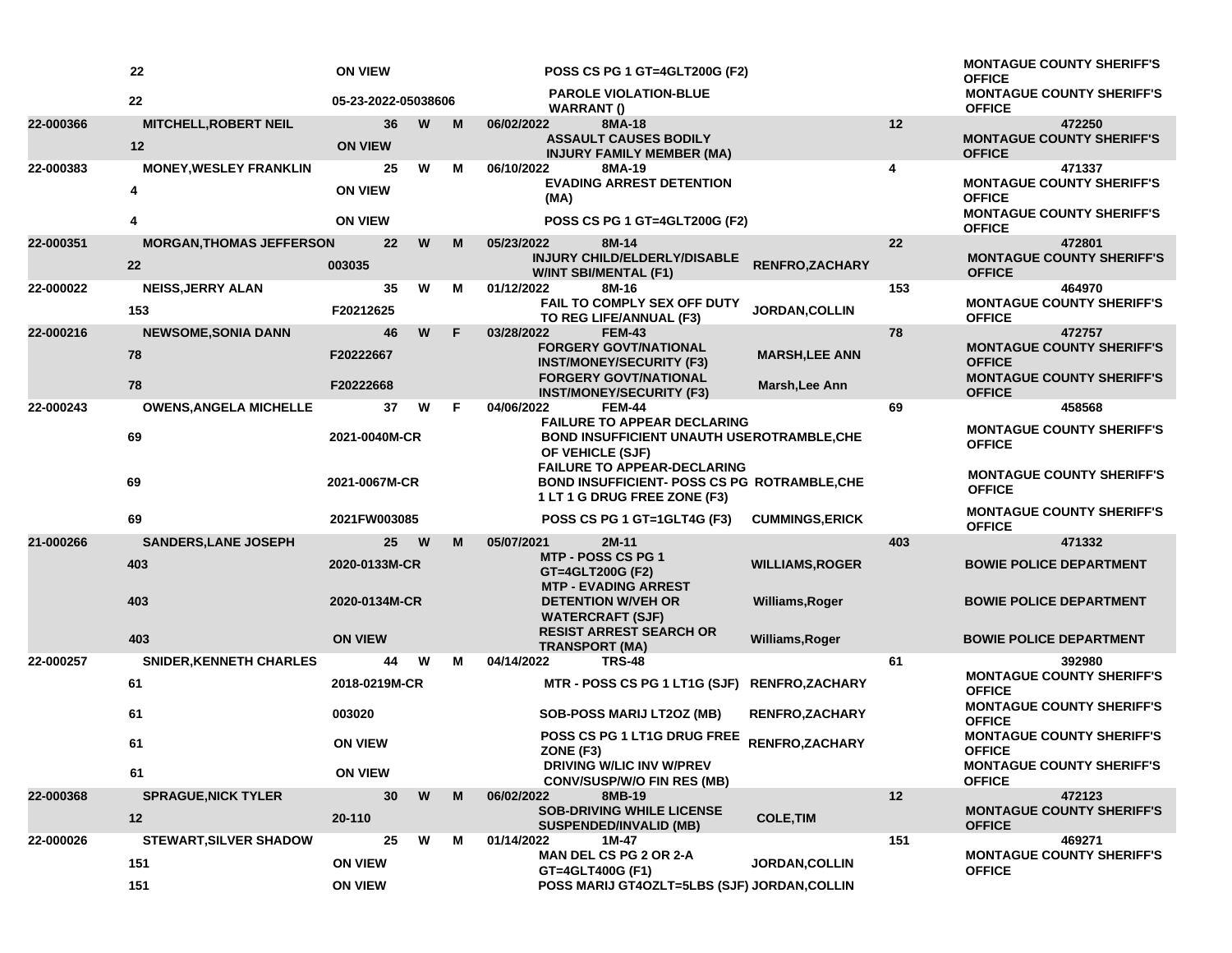|           | 22                              | <b>ON VIEW</b>      |          |    | <b>POSS CS PG 1 GT=4GLT200G (F2)</b>                                                |                        |     | <b>MONTAGUE COUNTY SHERIFF'S</b><br><b>OFFICE</b> |
|-----------|---------------------------------|---------------------|----------|----|-------------------------------------------------------------------------------------|------------------------|-----|---------------------------------------------------|
|           | 22                              | 05-23-2022-05038606 |          |    | <b>PAROLE VIOLATION-BLUE</b><br><b>WARRANT()</b>                                    |                        |     | <b>MONTAGUE COUNTY SHERIFF'S</b><br><b>OFFICE</b> |
| 22-000366 | <b>MITCHELL, ROBERT NEIL</b>    | 36                  | W        | M  | 8MA-18<br>06/02/2022                                                                |                        | 12  | 472250                                            |
|           | 12                              | <b>ON VIEW</b>      |          |    | <b>ASSAULT CAUSES BODILY</b><br><b>INJURY FAMILY MEMBER (MA)</b>                    |                        |     | <b>MONTAGUE COUNTY SHERIFF'S</b><br><b>OFFICE</b> |
| 22-000383 | <b>MONEY, WESLEY FRANKLIN</b>   | 25                  | W        | м  | 06/10/2022<br>8MA-19                                                                |                        | 4   | 471337                                            |
|           | 4                               | <b>ON VIEW</b>      |          |    | <b>EVADING ARREST DETENTION</b><br>(MA)                                             |                        |     | <b>MONTAGUE COUNTY SHERIFF'S</b><br><b>OFFICE</b> |
|           | 4                               | <b>ON VIEW</b>      |          |    | POSS CS PG 1 GT=4GLT200G (F2)                                                       |                        |     | <b>MONTAGUE COUNTY SHERIFF'S</b><br><b>OFFICE</b> |
| 22-000351 | <b>MORGAN, THOMAS JEFFERSON</b> | 22                  | W        | M  | 05/23/2022<br>8M-14                                                                 |                        | 22  | 472801                                            |
|           | 22                              | 003035              |          |    | INJURY CHILD/ELDERLY/DISABLE<br><b>W/INT SBI/MENTAL (F1)</b>                        | <b>RENFRO,ZACHARY</b>  |     | <b>MONTAGUE COUNTY SHERIFF'S</b><br><b>OFFICE</b> |
| 22-000022 | <b>NEISS, JERRY ALAN</b>        | 35                  | W        | м  | 01/12/2022<br>8M-16                                                                 |                        | 153 | 464970                                            |
|           | 153                             | F20212625           |          |    | <b>FAIL TO COMPLY SEX OFF DUTY</b><br>TO REG LIFE/ANNUAL (F3)                       | JORDAN, COLLIN         |     | <b>MONTAGUE COUNTY SHERIFF'S</b><br><b>OFFICE</b> |
| 22-000216 | <b>NEWSOME, SONIA DANN</b>      | 46                  | W        | F  | 03/28/2022<br><b>FEM-43</b>                                                         |                        | 78  | 472757                                            |
|           | 78                              | F20222667           |          |    | <b>FORGERY GOVT/NATIONAL</b><br><b>INST/MONEY/SECURITY (F3)</b>                     | <b>MARSH, LEE ANN</b>  |     | <b>MONTAGUE COUNTY SHERIFF'S</b><br><b>OFFICE</b> |
|           | 78                              | F20222668           |          |    | <b>FORGERY GOVT/NATIONAL</b><br><b>INST/MONEY/SECURITY (F3)</b>                     | Marsh, Lee Ann         |     | <b>MONTAGUE COUNTY SHERIFF'S</b><br><b>OFFICE</b> |
| 22-000243 | <b>OWENS, ANGELA MICHELLE</b>   | 37                  | W        | F. | 04/06/2022<br><b>FEM-44</b>                                                         |                        | 69  | 458568                                            |
|           |                                 |                     |          |    | <b>FAILURE TO APPEAR DECLARING</b>                                                  |                        |     | <b>MONTAGUE COUNTY SHERIFF'S</b>                  |
|           | 69                              | 2021-0040M-CR       |          |    | <b>BOND INSUFFICIENT UNAUTH USEROTRAMBLE, CHE</b><br>OF VEHICLE (SJF)               |                        |     | <b>OFFICE</b>                                     |
|           |                                 |                     |          |    | <b>FAILURE TO APPEAR-DECLARING</b>                                                  |                        |     | <b>MONTAGUE COUNTY SHERIFF'S</b>                  |
| 69        |                                 | 2021-0067M-CR       |          |    | <b>BOND INSUFFICIENT- POSS CS PG ROTRAMBLE, CHE</b><br>1 LT 1 G DRUG FREE ZONE (F3) |                        |     | <b>OFFICE</b>                                     |
|           | 69                              | 2021FW003085        |          |    | POSS CS PG 1 GT=1GLT4G (F3)                                                         | <b>CUMMINGS, ERICK</b> |     | <b>MONTAGUE COUNTY SHERIFF'S</b><br><b>OFFICE</b> |
| 21-000266 | <b>SANDERS, LANE JOSEPH</b>     | 25                  | <b>W</b> | M  | 05/07/2021<br>2M-11                                                                 |                        | 403 | 471332                                            |
|           | 403                             | 2020-0133M-CR       |          |    | <b>MTP - POSS CS PG 1</b><br>GT=4GLT200G (F2)                                       | <b>WILLIAMS, ROGER</b> |     | <b>BOWIE POLICE DEPARTMENT</b>                    |
|           | 403                             | 2020-0134M-CR       |          |    | <b>MTP - EVADING ARREST</b><br><b>DETENTION W/VEH OR</b>                            | Williams, Roger        |     | <b>BOWIE POLICE DEPARTMENT</b>                    |
|           |                                 |                     |          |    | <b>WATERCRAFT (SJF)</b>                                                             |                        |     |                                                   |
|           | 403                             | <b>ON VIEW</b>      |          |    | <b>RESIST ARREST SEARCH OR</b>                                                      | Williams, Roger        |     | <b>BOWIE POLICE DEPARTMENT</b>                    |
| 22-000257 | <b>SNIDER, KENNETH CHARLES</b>  | 44                  | W        | м  | <b>TRANSPORT (MA)</b><br>04/14/2022<br><b>TRS-48</b>                                |                        | 61  | 392980                                            |
|           | 61                              | 2018-0219M-CR       |          |    | MTR - POSS CS PG 1 LT1G (SJF) RENFRO,ZACHARY                                        |                        |     | <b>MONTAGUE COUNTY SHERIFF'S</b><br><b>OFFICE</b> |
|           | 61                              | 003020              |          |    | <b>SOB-POSS MARIJ LT2OZ (MB)</b>                                                    | <b>RENFRO, ZACHARY</b> |     | <b>MONTAGUE COUNTY SHERIFF'S</b><br><b>OFFICE</b> |
|           | 61                              | <b>ON VIEW</b>      |          |    | POSS CS PG 1 LT1G DRUG FREE<br>RENFRO, ZACHARY<br>ZONE (F3)                         |                        |     | <b>MONTAGUE COUNTY SHERIFF'S</b><br><b>OFFICE</b> |
|           | 61                              | <b>ON VIEW</b>      |          |    | <b>DRIVING W/LIC INV W/PREV</b><br><b>CONV/SUSP/W/O FIN RES (MB)</b>                |                        |     | <b>MONTAGUE COUNTY SHERIFF'S</b><br><b>OFFICE</b> |
| 22-000368 | <b>SPRAGUE, NICK TYLER</b>      | 30                  | W        | M  | 06/02/2022<br>8MB-19                                                                |                        | 12  | 472123                                            |
|           | 12                              | 20-110              |          |    | <b>SOB-DRIVING WHILE LICENSE</b><br><b>SUSPENDED/INVALID (MB)</b>                   | <b>COLE, TIM</b>       |     | <b>MONTAGUE COUNTY SHERIFF'S</b><br><b>OFFICE</b> |
| 22-000026 | <b>STEWART, SILVER SHADOW</b>   | 25                  | W        | М  | 01/14/2022<br>1M-47                                                                 |                        | 151 | 469271                                            |
|           | 151                             | <b>ON VIEW</b>      |          |    | <b>MAN DEL CS PG 2 OR 2-A</b>                                                       | <b>JORDAN, COLLIN</b>  |     | <b>MONTAGUE COUNTY SHERIFF'S</b>                  |
|           | 151                             | <b>ON VIEW</b>      |          |    | GT=4GLT400G (F1)<br>POSS MARIJ GT4OZLT=5LBS (SJF) JORDAN, COLLIN                    |                        |     | <b>OFFICE</b>                                     |